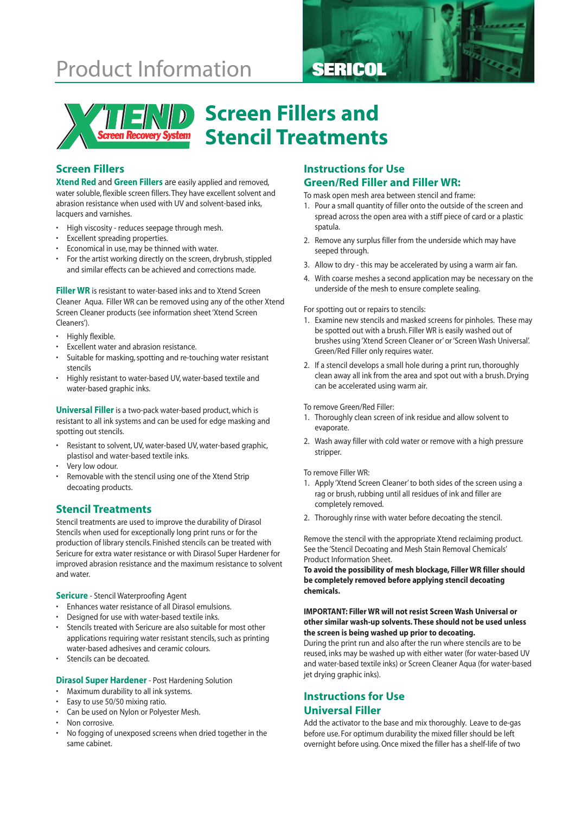# **Product Information SERICOL**





# **Screen Fillers and Stencil Treatments**

## **Screen Fillers**

**Xtend Red** and **Green Fillers** are easily applied and removed, water soluble, flexible screen fillers. They have excellent solvent and abrasion resistance when used with UV and solvent-based inks, lacquers and varnishes.

- High viscosity reduces seepage through mesh.
- Excellent spreading properties.
- Economical in use, may be thinned with water.
- For the artist working directly on the screen, drybrush, stippled and similar effects can be achieved and corrections made.

**Filler WR** is resistant to water-based inks and to Xtend Screen Cleaner Aqua. Filler WR can be removed using any of the other Xtend Screen Cleaner products (see information sheet 'Xtend Screen Cleaners').

- Highly flexible.
- Excellent water and abrasion resistance.
- Suitable for masking, spotting and re-touching water resistant stencils
- Highly resistant to water-based UV, water-based textile and water-based graphic inks.

**Universal Filler** is a two-pack water-based product, which is resistant to all ink systems and can be used for edge masking and spotting out stencils.

- Resistant to solvent, UV, water-based UV, water-based graphic, plastisol and water-based textile inks.
- Very low odour.
- Removable with the stencil using one of the Xtend Strip decoating products.

### **Stencil Treatments**

Stencil treatments are used to improve the durability of Dirasol Stencils when used for exceptionally long print runs or for the production of library stencils. Finished stencils can be treated with Sericure for extra water resistance or with Dirasol Super Hardener for improved abrasion resistance and the maximum resistance to solvent and water.

**Sericure** - Stencil Waterproofing Agent

- Enhances water resistance of all Dirasol emulsions.
- Designed for use with water-based textile inks.
- Stencils treated with Sericure are also suitable for most other applications requiring water resistant stencils, such as printing water-based adhesives and ceramic colours.
- Stencils can be decoated.

#### **Dirasol Super Hardener** - Post Hardening Solution

- Maximum durability to all ink systems.
- Easy to use 50/50 mixing ratio.
- Can be used on Nylon or Polyester Mesh.
- Non corrosive.
- No fogging of unexposed screens when dried together in the same cabinet.

## **Instructions for Use Green/Red Filler and Filler WR:**

To mask open mesh area between stencil and frame:

- 1. Pour a small quantity of filler onto the outside of the screen and spread across the open area with a stiff piece of card or a plastic spatula.
- 2. Remove any surplus filler from the underside which may have seeped through.
- 3. Allow to dry this may be accelerated by using a warm air fan.
- 4. With coarse meshes a second application may be necessary on the underside of the mesh to ensure complete sealing.

#### For spotting out or repairs to stencils:

- 1. Examine new stencils and masked screens for pinholes. These may be spotted out with a brush. Filler WR is easily washed out of brushes using 'Xtend Screen Cleaner or' or 'Screen Wash Universal'. Green/Red Filler only requires water.
- 2. If a stencil develops a small hole during a print run, thoroughly clean away all ink from the area and spot out with a brush. Drying can be accelerated using warm air.

#### To remove Green/Red Filler:

- 1. Thoroughly clean screen of ink residue and allow solvent to evaporate.
- 2. Wash away filler with cold water or remove with a high pressure stripper.

#### To remove Filler WR:

- 1. Apply 'Xtend Screen Cleaner' to both sides of the screen using a rag or brush, rubbing until all residues of ink and filler are completely removed.
- 2. Thoroughly rinse with water before decoating the stencil.

Remove the stencil with the appropriate Xtend reclaiming product. See the 'Stencil Decoating and Mesh Stain Removal Chemicals' Product Information Sheet.

**To avoid the possibility of mesh blockage, Filler WR filler should be completely removed before applying stencil decoating chemicals.**

#### **IMPORTANT: Filler WR will not resist Screen Wash Universal or other similar wash-up solvents. These should not be used unless the screen is being washed up prior to decoating.**

During the print run and also after the run where stencils are to be reused, inks may be washed up with either water (for water-based UV and water-based textile inks) or Screen Cleaner Aqua (for water-based jet drying graphic inks).

## **Instructions for Use Universal Filler**

Add the activator to the base and mix thoroughly. Leave to de-gas before use. For optimum durability the mixed filler should be left overnight before using. Once mixed the filler has a shelf-life of two